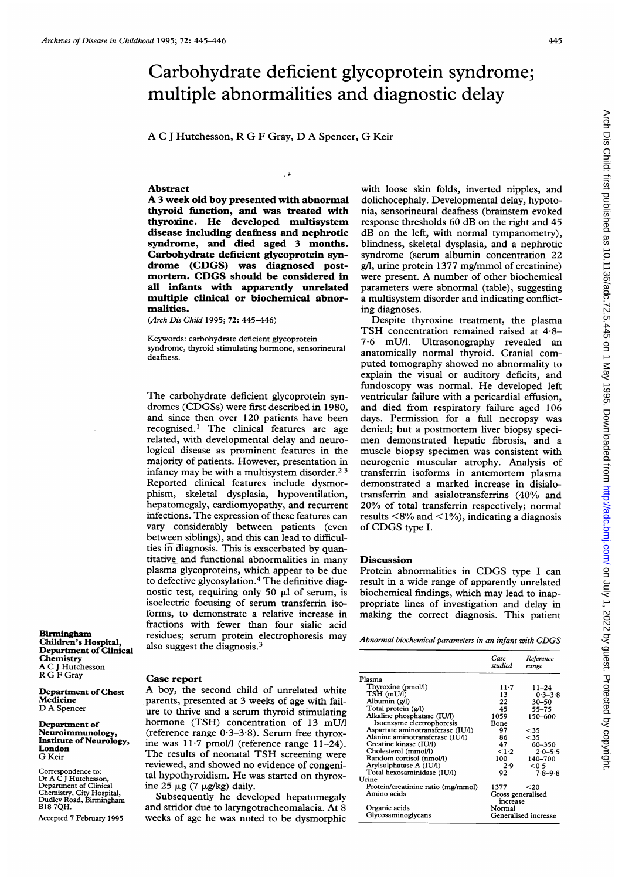## Carbohydrate deficient glycoprotein syndrome; multiple abnormalities and diagnostic delay

A C <sup>J</sup> Hutchesson, R G F Gray, D A Spencer, G Keir

## Abstract

A <sup>3</sup> week old boy presented with abnormal thyroid function, and was treated with thyroxine. He developed multisystem disease including deafness and nephrotic syndrome, and died aged 3 months. Carbohydrate deficient glycoprotein syndrome (CDGS) was diagnosed postmortem. CDGS should be considered in all infants with apparently unrelated multiple clinical or biochemical abnormalities.

(Arch Dis Child 1995; 72: 445-446)

Keywords: carbohydrate deficient glycoprotein syndrome, thyroid stimulating hormone, sensorineural deafness.

The carbohydrate deficient glycoprotein syndromes (CDGSs) were first described in 1980, and since then over 120 patients have been recognised.1 The clinical features are age related, with developmental delay and neurological disease as prominent features in the majority of patients. However, presentation in infancy may be with a multisystem disorder.<sup>23</sup> Reported clinical features include dysmorphism, skeletal dysplasia, hypoventilation, hepatomegaly, cardiomyopathy, and recurrent infections. The expression of these features can vary considerably between patients (even between siblings), and this can lead to difficulties in-diagnosis. This is exacerbated by quantitative and functional abnormalities in many plasma glycoproteins, which appear to be due to defective glycosylation.<sup>4</sup> The definitive diagnostic test, requiring only 50  $\mu$ l of serum, is isoelectric focusing of serum transferrin isoforms, to demonstrate a relative increase in fractions with fewer than four sialic acid residues; serum protein electrophoresis may also suggest the diagnosis.3

Birmingham Children's Hospital, Department of Clinical Chemistry A C <sup>J</sup> Hutchesson R G F Gray

Department of Chest Medicine D A Spencer

Department of Neuroimmunology, Institute of Neurology, London G Keir

Correspondence to: Dr A C <sup>J</sup> Hutchesson, Department of Clinical Chemistry, City Hospital, Dudley Road, Birmingham B18 7QH.

Accepted 7 February 1995

## Case report

A boy, the second child of unrelated white parents, presented at 3 weeks of age with failure to thrive and a serum thyroid stimulating hormone (TSH) concentration of 13 mU/l (reference range 0-3-3-8). Serum free thyroxine was  $11.7$  pmol/l (reference range  $11-24$ ). The results of neonatal TSH screening were reviewed, and showed no evidence of congenital hypothyroidism. He was started on thyroxine 25  $\mu$ g (7  $\mu$ g/kg) daily.

Subsequently he developed hepatomegaly and stridor due to laryngotracheomalacia. At 8 weeks of age he was noted to be dysmorphic with loose skin folds, inverted nipples, and dolichocephaly. Developmental delay, hypotonia, sensorineural deafness (brainstem evoked response thresholds 60 dB on the right and 45 dB on the left, with normal tympanometry), blindness, skeletal dysplasia, and a nephrotic syndrome (serum albumin concentration 22 g/l, urine protein 1377 mg/mmol of creatinine) were present. A number of other biochemical parameters were abnormal (table), suggesting a multisystem disorder and indicating conflicting diagnoses.

Despite thyroxine treatment, the plasma TSH concentration remained raised at 4-8- 7-6 mU/l. Ultrasonography revealed an anatomically normal thyroid. Cranial computed tomography showed no abnormality to explain the visual or auditory deficits, and fundoscopy was normal. He developed left ventricular failure with a pericardial effusion, and died from respiratory failure aged 106 days. Permission for a full necropsy was denied; but a postmortem liver biopsy specimen demonstrated hepatic fibrosis, and <sup>a</sup> muscle biopsy specimen was consistent with neurogenic muscular atrophy. Analysis of transferrin isoforms in antemortem plasma demonstrated a marked increase in disialotransferrin and asialotransferrins (40% and 20% of total transferrin respectively; normal results  $\langle 8\%$  and  $\langle 1\% \rangle$ , indicating a diagnosis of CDGS type I.

## **Discussion**

Protein abnormalities in CDGS type <sup>I</sup> can result in a wide range of apparently unrelated biochemical findings, which may lead to inappropriate lines of investigation and delay in making the correct diagnosis. This patient

Abnormal biochemical parameters in an infant with CDGS

|                                    | Case<br>studied               | Reference<br>range |
|------------------------------------|-------------------------------|--------------------|
| Plasma                             |                               |                    |
| Thyroxine (pmol/l)                 | $11 - 7$                      | $11 - 24$          |
| TSH (mU/l)                         | 13                            | $0.3 - 3.8$        |
| Albumin (g/l)                      | 22                            | $30 - 50$          |
| Total protein (g/l)                | 45                            | 55–75              |
| Alkaline phosphatase (IU/l)        | 1059                          | 150-600            |
| Isoenzyme electrophoresis          | Bone                          |                    |
| Aspartate aminotransferase (IU/l)  | 97                            | $35$               |
| Alanine aminotransferase (IU/l)    | 86                            | $35$               |
| Creatine kinase (IU/I)             | 47                            | 60-350             |
| Cholesterol (mmol/l)               | $\leq 1.2$                    | $2.0 - 5.5$        |
| Random cortisol (nmol/l)           | 100                           | 140-700            |
| Arylsulphatase A (IU/l)            | 2.9                           | < 0.5              |
| Total hexosaminidase (IU/l)        | 92                            | $7.8 - 9.8$        |
| Urine                              |                               |                    |
| Protein/creatinine ratio (mg/mmol) | 1377                          | $20$               |
| Amino acids                        | Gross generalised<br>increase |                    |
| Organic acids                      | Normal                        |                    |
| Glycosaminoglycans                 | Generalised increase          |                    |